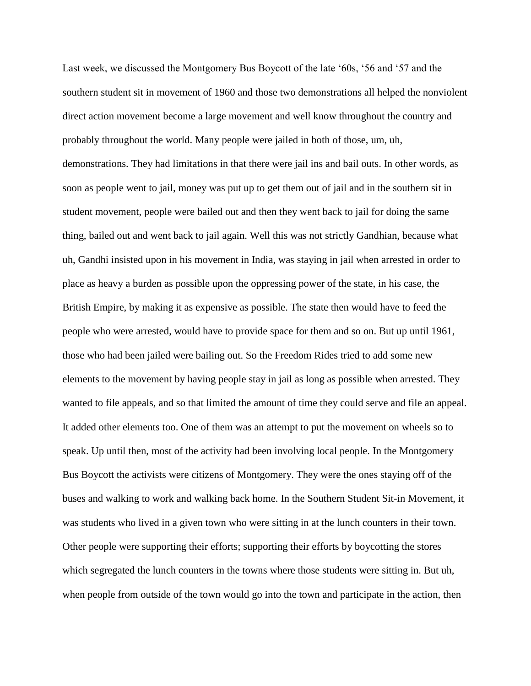Last week, we discussed the Montgomery Bus Boycott of the late '60s, '56 and '57 and the southern student sit in movement of 1960 and those two demonstrations all helped the nonviolent direct action movement become a large movement and well know throughout the country and probably throughout the world. Many people were jailed in both of those, um, uh, demonstrations. They had limitations in that there were jail ins and bail outs. In other words, as soon as people went to jail, money was put up to get them out of jail and in the southern sit in student movement, people were bailed out and then they went back to jail for doing the same thing, bailed out and went back to jail again. Well this was not strictly Gandhian, because what uh, Gandhi insisted upon in his movement in India, was staying in jail when arrested in order to place as heavy a burden as possible upon the oppressing power of the state, in his case, the British Empire, by making it as expensive as possible. The state then would have to feed the people who were arrested, would have to provide space for them and so on. But up until 1961, those who had been jailed were bailing out. So the Freedom Rides tried to add some new elements to the movement by having people stay in jail as long as possible when arrested. They wanted to file appeals, and so that limited the amount of time they could serve and file an appeal. It added other elements too. One of them was an attempt to put the movement on wheels so to speak. Up until then, most of the activity had been involving local people. In the Montgomery Bus Boycott the activists were citizens of Montgomery. They were the ones staying off of the buses and walking to work and walking back home. In the Southern Student Sit-in Movement, it was students who lived in a given town who were sitting in at the lunch counters in their town. Other people were supporting their efforts; supporting their efforts by boycotting the stores which segregated the lunch counters in the towns where those students were sitting in. But uh, when people from outside of the town would go into the town and participate in the action, then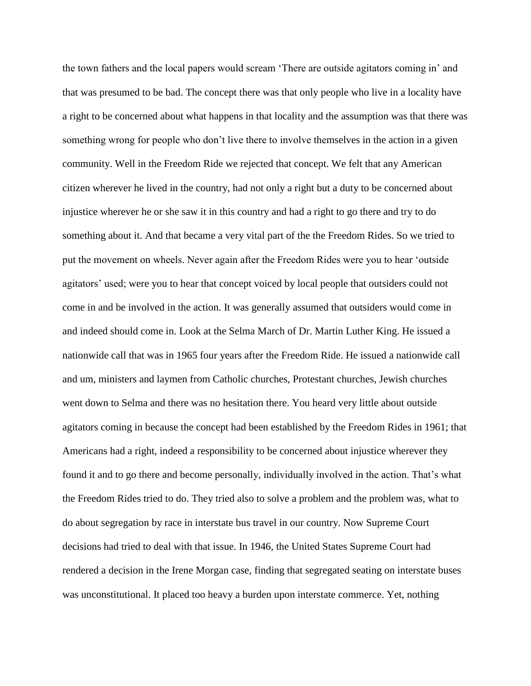the town fathers and the local papers would scream 'There are outside agitators coming in' and that was presumed to be bad. The concept there was that only people who live in a locality have a right to be concerned about what happens in that locality and the assumption was that there was something wrong for people who don't live there to involve themselves in the action in a given community. Well in the Freedom Ride we rejected that concept. We felt that any American citizen wherever he lived in the country, had not only a right but a duty to be concerned about injustice wherever he or she saw it in this country and had a right to go there and try to do something about it. And that became a very vital part of the the Freedom Rides. So we tried to put the movement on wheels. Never again after the Freedom Rides were you to hear 'outside agitators' used; were you to hear that concept voiced by local people that outsiders could not come in and be involved in the action. It was generally assumed that outsiders would come in and indeed should come in. Look at the Selma March of Dr. Martin Luther King. He issued a nationwide call that was in 1965 four years after the Freedom Ride. He issued a nationwide call and um, ministers and laymen from Catholic churches, Protestant churches, Jewish churches went down to Selma and there was no hesitation there. You heard very little about outside agitators coming in because the concept had been established by the Freedom Rides in 1961; that Americans had a right, indeed a responsibility to be concerned about injustice wherever they found it and to go there and become personally, individually involved in the action. That's what the Freedom Rides tried to do. They tried also to solve a problem and the problem was, what to do about segregation by race in interstate bus travel in our country. Now Supreme Court decisions had tried to deal with that issue. In 1946, the United States Supreme Court had rendered a decision in the Irene Morgan case, finding that segregated seating on interstate buses was unconstitutional. It placed too heavy a burden upon interstate commerce. Yet, nothing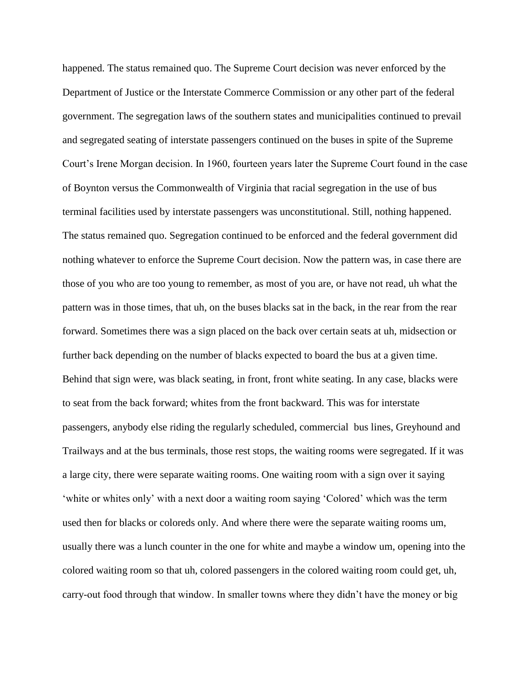happened. The status remained quo. The Supreme Court decision was never enforced by the Department of Justice or the Interstate Commerce Commission or any other part of the federal government. The segregation laws of the southern states and municipalities continued to prevail and segregated seating of interstate passengers continued on the buses in spite of the Supreme Court's Irene Morgan decision. In 1960, fourteen years later the Supreme Court found in the case of Boynton versus the Commonwealth of Virginia that racial segregation in the use of bus terminal facilities used by interstate passengers was unconstitutional. Still, nothing happened. The status remained quo. Segregation continued to be enforced and the federal government did nothing whatever to enforce the Supreme Court decision. Now the pattern was, in case there are those of you who are too young to remember, as most of you are, or have not read, uh what the pattern was in those times, that uh, on the buses blacks sat in the back, in the rear from the rear forward. Sometimes there was a sign placed on the back over certain seats at uh, midsection or further back depending on the number of blacks expected to board the bus at a given time. Behind that sign were, was black seating, in front, front white seating. In any case, blacks were to seat from the back forward; whites from the front backward. This was for interstate passengers, anybody else riding the regularly scheduled, commercial bus lines, Greyhound and Trailways and at the bus terminals, those rest stops, the waiting rooms were segregated. If it was a large city, there were separate waiting rooms. One waiting room with a sign over it saying 'white or whites only' with a next door a waiting room saying 'Colored' which was the term used then for blacks or coloreds only. And where there were the separate waiting rooms um, usually there was a lunch counter in the one for white and maybe a window um, opening into the colored waiting room so that uh, colored passengers in the colored waiting room could get, uh, carry-out food through that window. In smaller towns where they didn't have the money or big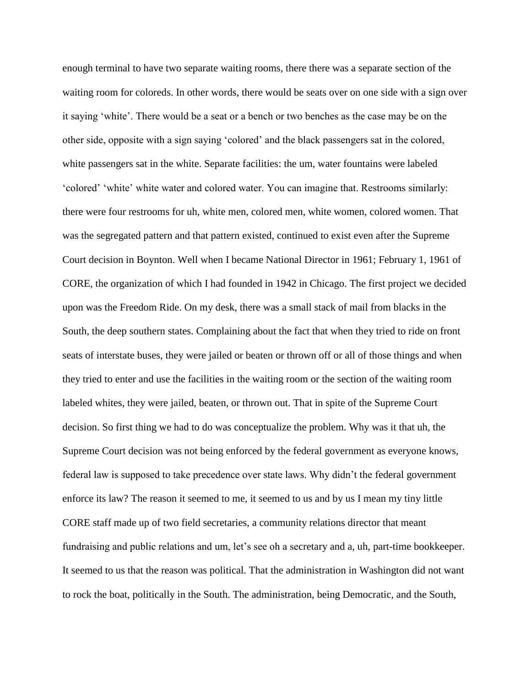enough terminal to have two separate waiting rooms, there there was a separate section of the waiting room for coloreds. In other words, there would be seats over on one side with a sign over it saying 'white'. There would be a seat or a bench or two benches as the case may be on the other side, opposite with a sign saying 'colored' and the black passengers sat in the colored, white passengers sat in the white. Separate facilities: the um, water fountains were labeled 'colored' 'white' white water and colored water. You can imagine that. Restrooms similarly: there were four restrooms for uh, white men, colored men, white women, colored women. That was the segregated pattern and that pattern existed, continued to exist even after the Supreme Court decision in Boynton. Well when I became National Director in 1961; February 1, 1961 of CORE, the organization of which I had founded in 1942 in Chicago. The first project we decided upon was the Freedom Ride. On my desk, there was a small stack of mail from blacks in the South, the deep southern states. Complaining about the fact that when they tried to ride on front seats of interstate buses, they were jailed or beaten or thrown off or all of those things and when they tried to enter and use the facilities in the waiting room or the section of the waiting room labeled whites, they were jailed, beaten, or thrown out. That in spite of the Supreme Court decision. So first thing we had to do was conceptualize the problem. Why was it that uh, the Supreme Court decision was not being enforced by the federal government as everyone knows, federal law is supposed to take precedence over state laws. Why didn't the federal government enforce its law? The reason it seemed to me, it seemed to us and by us I mean my tiny little CORE staff made up of two field secretaries, a community relations director that meant fundraising and public relations and um, let's see oh a secretary and a, uh, part-time bookkeeper. It seemed to us that the reason was political. That the administration in Washington did not want to rock the boat, politically in the South. The administration, being Democratic, and the South,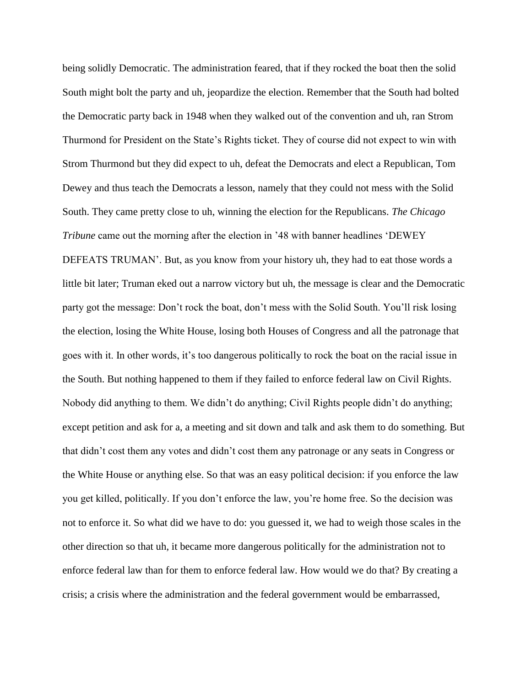being solidly Democratic. The administration feared, that if they rocked the boat then the solid South might bolt the party and uh, jeopardize the election. Remember that the South had bolted the Democratic party back in 1948 when they walked out of the convention and uh, ran Strom Thurmond for President on the State's Rights ticket. They of course did not expect to win with Strom Thurmond but they did expect to uh, defeat the Democrats and elect a Republican, Tom Dewey and thus teach the Democrats a lesson, namely that they could not mess with the Solid South. They came pretty close to uh, winning the election for the Republicans. *The Chicago Tribune* came out the morning after the election in '48 with banner headlines 'DEWEY DEFEATS TRUMAN'. But, as you know from your history uh, they had to eat those words a little bit later; Truman eked out a narrow victory but uh, the message is clear and the Democratic party got the message: Don't rock the boat, don't mess with the Solid South. You'll risk losing the election, losing the White House, losing both Houses of Congress and all the patronage that goes with it. In other words, it's too dangerous politically to rock the boat on the racial issue in the South. But nothing happened to them if they failed to enforce federal law on Civil Rights. Nobody did anything to them. We didn't do anything; Civil Rights people didn't do anything; except petition and ask for a, a meeting and sit down and talk and ask them to do something. But that didn't cost them any votes and didn't cost them any patronage or any seats in Congress or the White House or anything else. So that was an easy political decision: if you enforce the law you get killed, politically. If you don't enforce the law, you're home free. So the decision was not to enforce it. So what did we have to do: you guessed it, we had to weigh those scales in the other direction so that uh, it became more dangerous politically for the administration not to enforce federal law than for them to enforce federal law. How would we do that? By creating a crisis; a crisis where the administration and the federal government would be embarrassed,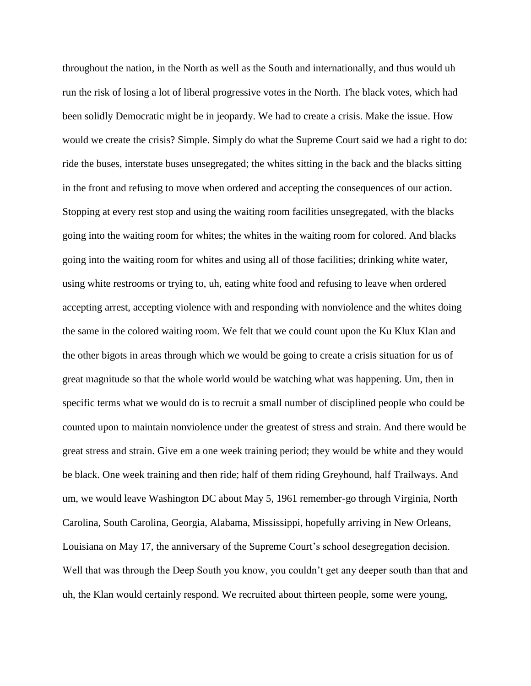throughout the nation, in the North as well as the South and internationally, and thus would uh run the risk of losing a lot of liberal progressive votes in the North. The black votes, which had been solidly Democratic might be in jeopardy. We had to create a crisis. Make the issue. How would we create the crisis? Simple. Simply do what the Supreme Court said we had a right to do: ride the buses, interstate buses unsegregated; the whites sitting in the back and the blacks sitting in the front and refusing to move when ordered and accepting the consequences of our action. Stopping at every rest stop and using the waiting room facilities unsegregated, with the blacks going into the waiting room for whites; the whites in the waiting room for colored. And blacks going into the waiting room for whites and using all of those facilities; drinking white water, using white restrooms or trying to, uh, eating white food and refusing to leave when ordered accepting arrest, accepting violence with and responding with nonviolence and the whites doing the same in the colored waiting room. We felt that we could count upon the Ku Klux Klan and the other bigots in areas through which we would be going to create a crisis situation for us of great magnitude so that the whole world would be watching what was happening. Um, then in specific terms what we would do is to recruit a small number of disciplined people who could be counted upon to maintain nonviolence under the greatest of stress and strain. And there would be great stress and strain. Give em a one week training period; they would be white and they would be black. One week training and then ride; half of them riding Greyhound, half Trailways. And um, we would leave Washington DC about May 5, 1961 remember-go through Virginia, North Carolina, South Carolina, Georgia, Alabama, Mississippi, hopefully arriving in New Orleans, Louisiana on May 17, the anniversary of the Supreme Court's school desegregation decision. Well that was through the Deep South you know, you couldn't get any deeper south than that and uh, the Klan would certainly respond. We recruited about thirteen people, some were young,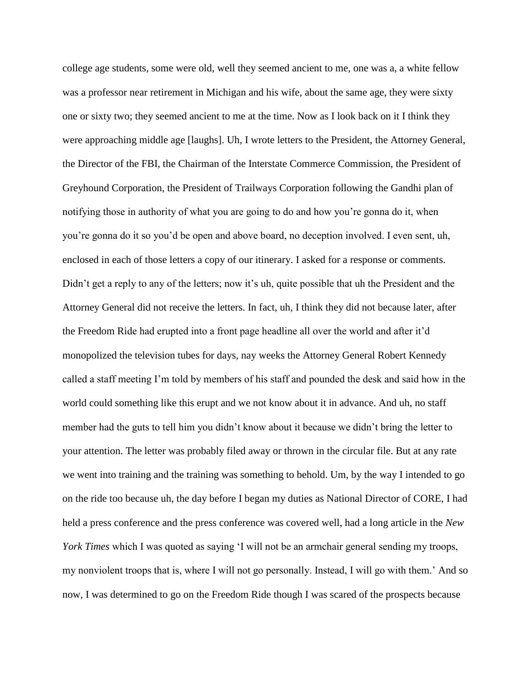college age students, some were old, well they seemed ancient to me, one was a, a white fellow was a professor near retirement in Michigan and his wife, about the same age, they were sixty one or sixty two; they seemed ancient to me at the time. Now as I look back on it I think they were approaching middle age [laughs]. Uh, I wrote letters to the President, the Attorney General, the Director of the FBI, the Chairman of the Interstate Commerce Commission, the President of Greyhound Corporation, the President of Trailways Corporation following the Gandhi plan of notifying those in authority of what you are going to do and how you're gonna do it, when you're gonna do it so you'd be open and above board, no deception involved. I even sent, uh, enclosed in each of those letters a copy of our itinerary. I asked for a response or comments. Didn't get a reply to any of the letters; now it's uh, quite possible that uh the President and the Attorney General did not receive the letters. In fact, uh, I think they did not because later, after the Freedom Ride had erupted into a front page headline all over the world and after it'd monopolized the television tubes for days, nay weeks the Attorney General Robert Kennedy called a staff meeting I'm told by members of his staff and pounded the desk and said how in the world could something like this erupt and we not know about it in advance. And uh, no staff member had the guts to tell him you didn't know about it because we didn't bring the letter to your attention. The letter was probably filed away or thrown in the circular file. But at any rate we went into training and the training was something to behold. Um, by the way I intended to go on the ride too because uh, the day before I began my duties as National Director of CORE, I had held a press conference and the press conference was covered well, had a long article in the *New York Times* which I was quoted as saying 'I will not be an armchair general sending my troops, my nonviolent troops that is, where I will not go personally. Instead, I will go with them.' And so now, I was determined to go on the Freedom Ride though I was scared of the prospects because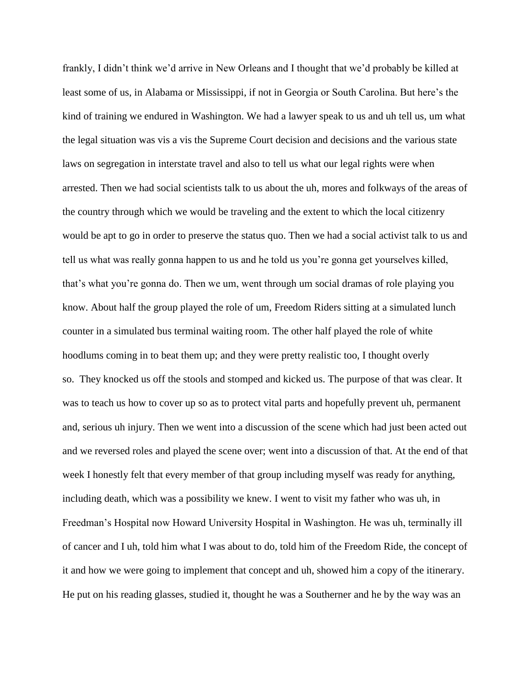frankly, I didn't think we'd arrive in New Orleans and I thought that we'd probably be killed at least some of us, in Alabama or Mississippi, if not in Georgia or South Carolina. But here's the kind of training we endured in Washington. We had a lawyer speak to us and uh tell us, um what the legal situation was vis a vis the Supreme Court decision and decisions and the various state laws on segregation in interstate travel and also to tell us what our legal rights were when arrested. Then we had social scientists talk to us about the uh, mores and folkways of the areas of the country through which we would be traveling and the extent to which the local citizenry would be apt to go in order to preserve the status quo. Then we had a social activist talk to us and tell us what was really gonna happen to us and he told us you're gonna get yourselves killed, that's what you're gonna do. Then we um, went through um social dramas of role playing you know. About half the group played the role of um, Freedom Riders sitting at a simulated lunch counter in a simulated bus terminal waiting room. The other half played the role of white hoodlums coming in to beat them up; and they were pretty realistic too, I thought overly so. They knocked us off the stools and stomped and kicked us. The purpose of that was clear. It was to teach us how to cover up so as to protect vital parts and hopefully prevent uh, permanent and, serious uh injury. Then we went into a discussion of the scene which had just been acted out and we reversed roles and played the scene over; went into a discussion of that. At the end of that week I honestly felt that every member of that group including myself was ready for anything, including death, which was a possibility we knew. I went to visit my father who was uh, in Freedman's Hospital now Howard University Hospital in Washington. He was uh, terminally ill of cancer and I uh, told him what I was about to do, told him of the Freedom Ride, the concept of it and how we were going to implement that concept and uh, showed him a copy of the itinerary. He put on his reading glasses, studied it, thought he was a Southerner and he by the way was an